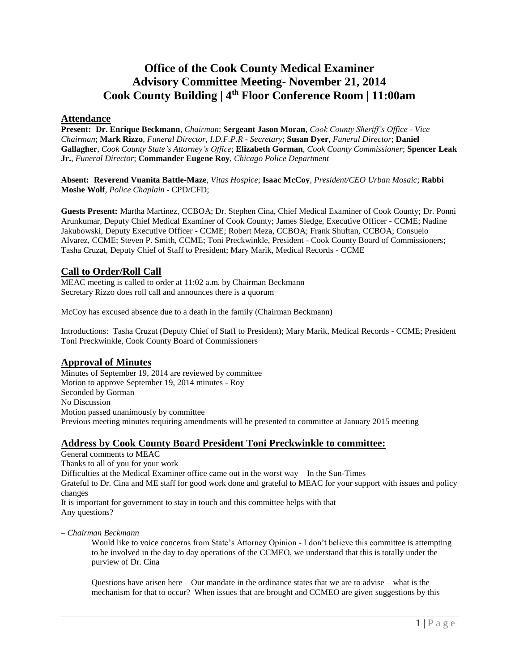# **Office of the Cook County Medical Examiner Advisory Committee Meeting- November 21, 2014 Cook County Building | 4th Floor Conference Room | 11:00am**

## **Attendance**

**Present: Dr. Enrique Beckmann**, *Chairman*; **Sergeant Jason Moran**, *Cook County Sheriff's Office - Vice Chairman*; **Mark Rizzo**, *Funeral Director, I.D.F.P.R - Secretary*; **Susan Dyer**, *Funeral Director*; **Daniel Gallagher**, *Cook County State's Attorney's Office*; **Elizabeth Gorman**, *Cook County Commissioner*; **Spencer Leak Jr.**, *Funeral Director*; **Commander Eugene Roy**, *Chicago Police Department*

**Absent: Reverend Vuanita Battle-Maze**, *Vitas Hospice*; **Isaac McCoy**, *President/CEO Urban Mosaic*; **Rabbi Moshe Wolf**, *Police Chaplain* - CPD/CFD;

**Guests Present:** Martha Martinez, CCBOA; Dr. Stephen Cina, Chief Medical Examiner of Cook County; Dr. Ponni Arunkumar, Deputy Chief Medical Examiner of Cook County; James Sledge, Executive Officer - CCME; Nadine Jakubowski, Deputy Executive Officer - CCME; Robert Meza, CCBOA; Frank Shuftan, CCBOA; Consuelo Alvarez, CCME; Steven P. Smith, CCME; Toni Preckwinkle, President - Cook County Board of Commissioners; Tasha Cruzat, Deputy Chief of Staff to President; Mary Marik, Medical Records - CCME

## **Call to Order/Roll Call**

MEAC meeting is called to order at 11:02 a.m. by Chairman Beckmann Secretary Rizzo does roll call and announces there is a quorum

McCoy has excused absence due to a death in the family (Chairman Beckmann)

Introductions: Tasha Cruzat (Deputy Chief of Staff to President); Mary Marik, Medical Records - CCME; President Toni Preckwinkle, Cook County Board of Commissioners

## **Approval of Minutes**

Minutes of September 19, 2014 are reviewed by committee Motion to approve September 19, 2014 minutes - Roy Seconded by Gorman No Discussion Motion passed unanimously by committee Previous meeting minutes requiring amendments will be presented to committee at January 2015 meeting

## **Address by Cook County Board President Toni Preckwinkle to committee:**

General comments to MEAC

Thanks to all of you for your work

Difficulties at the Medical Examiner office came out in the worst way – In the Sun-Times

Grateful to Dr. Cina and ME staff for good work done and grateful to MEAC for your support with issues and policy changes

It is important for government to stay in touch and this committee helps with that Any questions?

*– Chairman Beckmann* 

Would like to voice concerns from State's Attorney Opinion - I don't believe this committee is attempting to be involved in the day to day operations of the CCMEO, we understand that this is totally under the purview of Dr. Cina

Questions have arisen here – Our mandate in the ordinance states that we are to advise – what is the mechanism for that to occur? When issues that are brought and CCMEO are given suggestions by this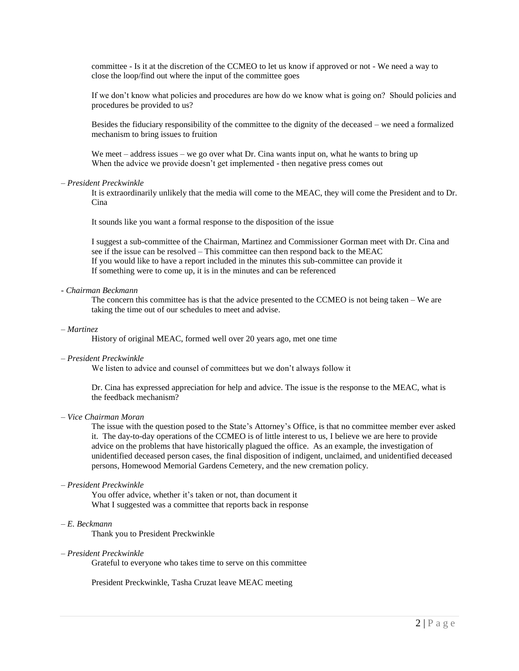committee - Is it at the discretion of the CCMEO to let us know if approved or not - We need a way to close the loop/find out where the input of the committee goes

If we don't know what policies and procedures are how do we know what is going on? Should policies and procedures be provided to us?

Besides the fiduciary responsibility of the committee to the dignity of the deceased – we need a formalized mechanism to bring issues to fruition

We meet – address issues – we go over what Dr. Cina wants input on, what he wants to bring up When the advice we provide doesn't get implemented - then negative press comes out

#### *– President Preckwinkle*

It is extraordinarily unlikely that the media will come to the MEAC, they will come the President and to Dr. Cina

It sounds like you want a formal response to the disposition of the issue

I suggest a sub-committee of the Chairman, Martinez and Commissioner Gorman meet with Dr. Cina and see if the issue can be resolved – This committee can then respond back to the MEAC If you would like to have a report included in the minutes this sub-committee can provide it If something were to come up, it is in the minutes and can be referenced

#### *- Chairman Beckmann*

The concern this committee has is that the advice presented to the CCMEO is not being taken – We are taking the time out of our schedules to meet and advise.

#### *– Martinez*

History of original MEAC, formed well over 20 years ago, met one time

### *– President Preckwinkle*

We listen to advice and counsel of committees but we don't always follow it

Dr. Cina has expressed appreciation for help and advice. The issue is the response to the MEAC, what is the feedback mechanism?

## *– Vice Chairman Moran*

The issue with the question posed to the State's Attorney's Office, is that no committee member ever asked it. The day-to-day operations of the CCMEO is of little interest to us, I believe we are here to provide advice on the problems that have historically plagued the office. As an example, the investigation of unidentified deceased person cases, the final disposition of indigent, unclaimed, and unidentified deceased persons, Homewood Memorial Gardens Cemetery, and the new cremation policy.

#### *– President Preckwinkle*

You offer advice, whether it's taken or not, than document it What I suggested was a committee that reports back in response

### *– E. Beckmann*

Thank you to President Preckwinkle

#### *– President Preckwinkle*

Grateful to everyone who takes time to serve on this committee

President Preckwinkle, Tasha Cruzat leave MEAC meeting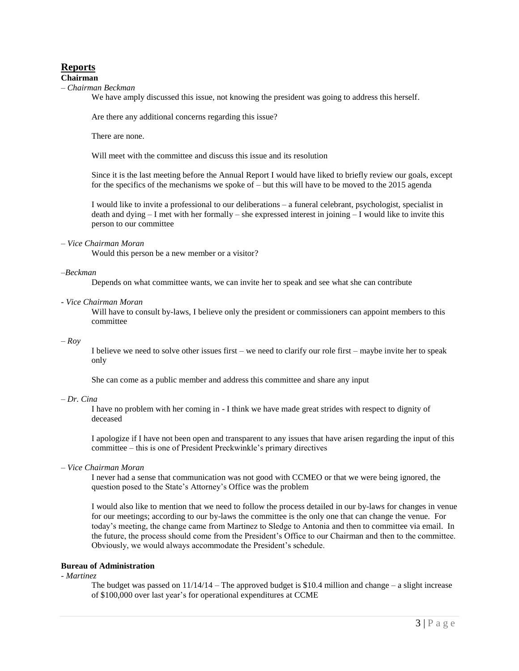## **Reports**

#### **Chairman**

*– Chairman Beckman*

We have amply discussed this issue, not knowing the president was going to address this herself.

Are there any additional concerns regarding this issue?

There are none.

Will meet with the committee and discuss this issue and its resolution

Since it is the last meeting before the Annual Report I would have liked to briefly review our goals, except for the specifics of the mechanisms we spoke of – but this will have to be moved to the 2015 agenda

I would like to invite a professional to our deliberations – a funeral celebrant, psychologist, specialist in death and dying – I met with her formally – she expressed interest in joining – I would like to invite this person to our committee

### *– Vice Chairman Moran*

Would this person be a new member or a visitor?

#### *–Beckman*

Depends on what committee wants, we can invite her to speak and see what she can contribute

### *- Vice Chairman Moran*

Will have to consult by-laws, I believe only the president or commissioners can appoint members to this committee

#### *– Roy*

I believe we need to solve other issues first – we need to clarify our role first – maybe invite her to speak only

She can come as a public member and address this committee and share any input

#### *– Dr. Cina*

I have no problem with her coming in - I think we have made great strides with respect to dignity of deceased

I apologize if I have not been open and transparent to any issues that have arisen regarding the input of this committee – this is one of President Preckwinkle's primary directives

## *– Vice Chairman Moran*

I never had a sense that communication was not good with CCMEO or that we were being ignored, the question posed to the State's Attorney's Office was the problem

I would also like to mention that we need to follow the process detailed in our by-laws for changes in venue for our meetings; according to our by-laws the committee is the only one that can change the venue. For today's meeting, the change came from Martinez to Sledge to Antonia and then to committee via email. In the future, the process should come from the President's Office to our Chairman and then to the committee. Obviously, we would always accommodate the President's schedule.

## **Bureau of Administration**

*- Martinez*

The budget was passed on  $11/14/14$  – The approved budget is \$10.4 million and change – a slight increase of \$100,000 over last year's for operational expenditures at CCME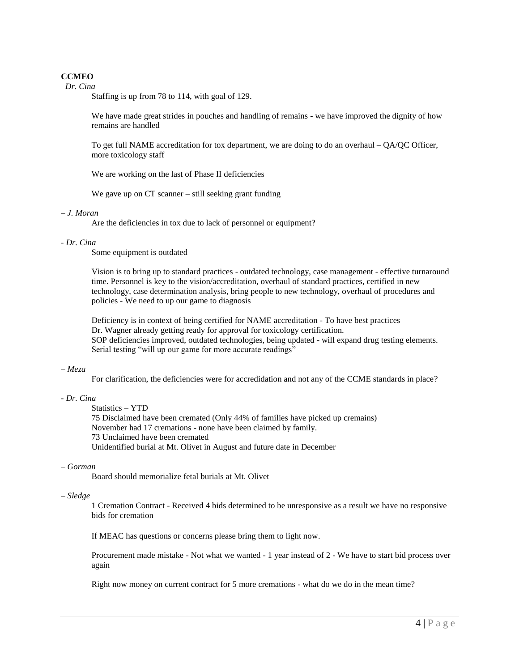## **CCMEO**

*–Dr. Cina*

Staffing is up from 78 to 114, with goal of 129.

We have made great strides in pouches and handling of remains - we have improved the dignity of how remains are handled

To get full NAME accreditation for tox department, we are doing to do an overhaul – QA/QC Officer, more toxicology staff

We are working on the last of Phase II deficiencies

We gave up on CT scanner – still seeking grant funding

### *– J. Moran*

Are the deficiencies in tox due to lack of personnel or equipment?

### *- Dr. Cina*

Some equipment is outdated

Vision is to bring up to standard practices - outdated technology, case management - effective turnaround time. Personnel is key to the vision/accreditation, overhaul of standard practices, certified in new technology, case determination analysis, bring people to new technology, overhaul of procedures and policies - We need to up our game to diagnosis

Deficiency is in context of being certified for NAME accreditation - To have best practices Dr. Wagner already getting ready for approval for toxicology certification. SOP deficiencies improved, outdated technologies, being updated - will expand drug testing elements. Serial testing "will up our game for more accurate readings"

#### *– Meza*

For clarification, the deficiencies were for accredidation and not any of the CCME standards in place?

#### *- Dr. Cina*

Statistics – YTD 75 Disclaimed have been cremated (Only 44% of families have picked up cremains) November had 17 cremations - none have been claimed by family. 73 Unclaimed have been cremated Unidentified burial at Mt. Olivet in August and future date in December

#### *– Gorman*

Board should memorialize fetal burials at Mt. Olivet

#### *– Sledge*

1 Cremation Contract - Received 4 bids determined to be unresponsive as a result we have no responsive bids for cremation

If MEAC has questions or concerns please bring them to light now.

Procurement made mistake - Not what we wanted - 1 year instead of 2 - We have to start bid process over again

Right now money on current contract for 5 more cremations - what do we do in the mean time?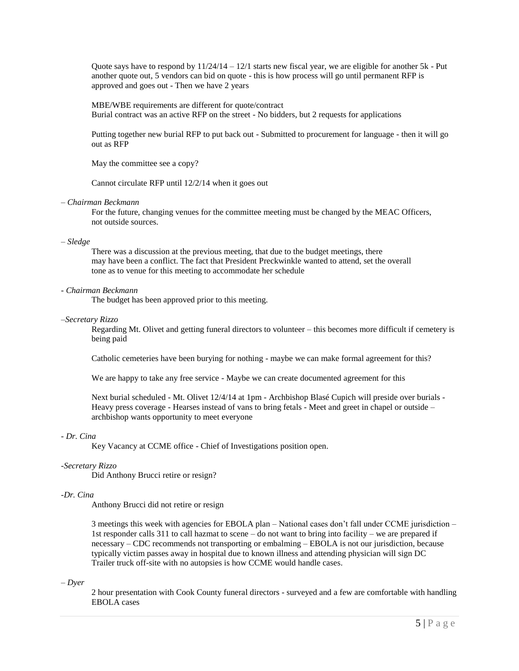Quote says have to respond by  $11/24/14 - 12/1$  starts new fiscal year, we are eligible for another 5k - Put another quote out, 5 vendors can bid on quote - this is how process will go until permanent RFP is approved and goes out - Then we have 2 years

MBE/WBE requirements are different for quote/contract Burial contract was an active RFP on the street - No bidders, but 2 requests for applications

Putting together new burial RFP to put back out - Submitted to procurement for language - then it will go out as RFP

May the committee see a copy?

Cannot circulate RFP until 12/2/14 when it goes out

#### *– Chairman Beckmann*

For the future, changing venues for the committee meeting must be changed by the MEAC Officers, not outside sources.

#### *– Sledge*

There was a discussion at the previous meeting, that due to the budget meetings, there may have been a conflict. The fact that President Preckwinkle wanted to attend, set the overall tone as to venue for this meeting to accommodate her schedule

#### *- Chairman Beckmann*

The budget has been approved prior to this meeting.

#### *–Secretary Rizzo*

Regarding Mt. Olivet and getting funeral directors to volunteer – this becomes more difficult if cemetery is being paid

Catholic cemeteries have been burying for nothing - maybe we can make formal agreement for this?

We are happy to take any free service - Maybe we can create documented agreement for this

Next burial scheduled - Mt. Olivet 12/4/14 at 1pm - Archbishop Blasé Cupich will preside over burials - Heavy press coverage - Hearses instead of vans to bring fetals - Meet and greet in chapel or outside – archbishop wants opportunity to meet everyone

#### *- Dr. Cina*

Key Vacancy at CCME office - Chief of Investigations position open.

#### *-Secretary Rizzo*

Did Anthony Brucci retire or resign?

#### *-Dr. Cina*

Anthony Brucci did not retire or resign

3 meetings this week with agencies for EBOLA plan – National cases don't fall under CCME jurisdiction – 1st responder calls 311 to call hazmat to scene – do not want to bring into facility – we are prepared if necessary – CDC recommends not transporting or embalming – EBOLA is not our jurisdiction, because typically victim passes away in hospital due to known illness and attending physician will sign DC Trailer truck off-site with no autopsies is how CCME would handle cases.

#### *– Dyer*

2 hour presentation with Cook County funeral directors - surveyed and a few are comfortable with handling EBOLA cases